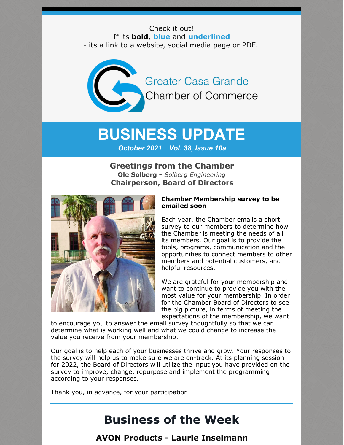Check it out! If its **bold**, **blue** and **underlined** - its a link to a website, social media page or PDF.

> Greater Casa Grande **Chamber of Commerce**

# **BUSINESS UPDATE** *October 2021 | Vol. 38, Issue 10a*

### **Greetings from the Chamber Ole Solberg -** *Solberg Engineering*

**Chairperson, Board of Directors**



#### **Chamber Membership survey to be emailed soon**

Each year, the Chamber emails a short survey to our members to determine how the Chamber is meeting the needs of all its members. Our goal is to provide the tools, programs, communication and the opportunities to connect members to other members and potential customers, and helpful resources.

We are grateful for your membership and want to continue to provide you with the most value for your membership. In order for the Chamber Board of Directors to see the big picture, in terms of meeting the expectations of the membership, we want

to encourage you to answer the email survey thoughtfully so that we can determine what is working well and what we could change to increase the value you receive from your membership.

Our goal is to help each of your businesses thrive and grow. Your responses to the survey will help us to make sure we are on-track. At its planning session for 2022, the Board of Directors will utilize the input you have provided on the survey to improve, change, repurpose and implement the programming according to your responses.

Thank you, in advance, for your participation.

# **Business of the Week**

**AVON Products - Laurie Inselmann**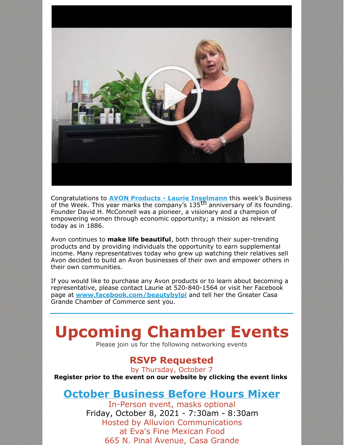

Congratulations to **AVON Products - Laurie [Inselmann](http://www.youravon.com/beautybylpi)** this week's Business of the Week. This year marks the company's 135<sup>th</sup> anniversary of its founding. Founder David H. McConnell was a pioneer, a visionary and a champion of empowering women through economic opportunity; a mission as relevant today as in 1886.

Avon continues to **make life beautiful**, both through their super-trending products and by providing individuals the opportunity to earn supplemental income. Many representatives today who grew up watching their relatives sell Avon decided to build an Avon businesses of their own and empower others in their own communities.

If you would like to purchase any Avon products or to learn about becoming a representative, please contact Laurie at 520-840-1564 or visit her Facebook page at **[www.facebook.com/beautybylpi](http://www.facebook.com/beautybylpi)** and tell her the Greater Casa Grande Chamber of Commerce sent you.

# **Upcoming Chamber Events**

Please join us for the following networking events

### **RSVP Requested**

by Thursday, October 7 **Register prior to the event on our website by clicking the event links**

### **October [Business](https://cca.casagrandechamber.org/EvtListing.aspx?dbid2=AZCAGR&evtid=23894&class=E) Before Hours Mixer**

In-Person event, masks optional Friday, October 8, 2021 - 7:30am - 8:30am Hosted by Alluvion Communications at Eva's Fine Mexican Food 665 N. Pinal Avenue, Casa Grande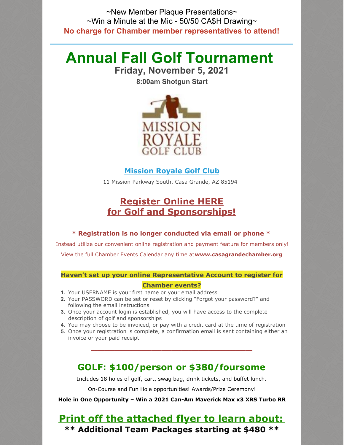~New Member Plaque Presentations~  $\sim$ Win a Minute at the Mic - 50/50 CA\$H Drawing $\sim$ **No charge for Chamber member representatives to attend!**

# **Annual Fall Golf Tournament**

**Friday, November 5, 2021**

**8:00am Shotgun Start**



### **[Mission](https://www.missionroyalegolfclub.com/) Royale Golf Club**

11 Mission Parkway South, Casa Grande, AZ 85194

### **[Register](https://cca.casagrandechamber.org/EvtListing.aspx?dbid2=AZCAGR&evtid=20785&class=E) Online HERE for Golf and [Sponsorships!](https://cca.casagrandechamber.org/EvtListing.aspx?dbid2=AZCAGR&evtid=20785&class=E)**

#### **\* Registration is no longer conducted via email or phone \***

Instead utilize our convenient online registration and payment feature for members only! View the full Chamber Events Calendar any time at**[www.casagrandechamber.org](https://casagrandechamber.org/)**

## **Haven't set up your online Representative Account to register for**

### **Chamber events?**

- **1.** Your USERNAME is your first name or your email address
- **2.** Your PASSWORD can be set or reset by clicking "Forgot your password?" and following the email instructions
- **3.** Once your account login is established, you will have access to the complete description of golf and sponsorships
- **4.** You may choose to be invoiced, or pay with a credit card at the time of registration
- **5.** Once your registration is complete, a confirmation email is sent containing either an invoice or your paid receipt

### **GOLF: \$100/person or \$380/foursome**

**\_\_\_\_\_\_\_\_\_\_\_\_\_\_\_\_\_\_\_\_\_\_\_\_\_\_\_\_\_\_\_\_\_\_\_\_\_\_\_\_\_\_\_\_\_\_\_\_**

Includes 18 holes of golf, cart, swag bag, drink tickets, and buffet lunch.

On-Course and Fun Hole opportunities! Awards/Prize Ceremony!

**Hole in One Opportunity – Win a 2021 Can-Am Maverick Max x3 XRS Turbo RR**

### **Print off the [attached](https://files.constantcontact.com/8c5f2f7b701/f5ed9bbb-d45e-49cb-959f-85d25034fbd7.pdf) flyer to learn about: \*\* [Additional](https://files.constantcontact.com/8c5f2f7b701/42f33ac8-3a54-484f-8cf0-cbb566e5e5ba.pdf) Team Packages starting at \$480 \*\***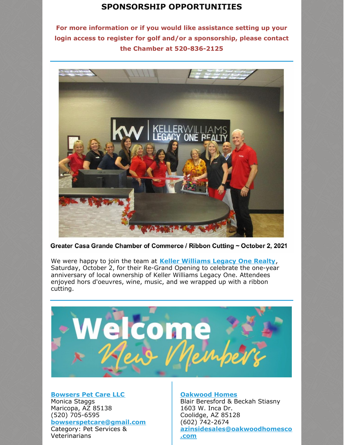### **SPONSORSHIP [OPPORTUNITIES](https://files.constantcontact.com/8c5f2f7b701/42f33ac8-3a54-484f-8cf0-cbb566e5e5ba.pdf)**

**For more information or if you would like assistance setting up your login access to register for golf and/or a sponsorship, please contact the Chamber at 520-836-2125**



Greater Casa Grande Chamber of Commerce / Ribbon Cutting ~ October 2, 2021

We were happy to join the team at **Keller [Williams](http://www.advhometeam.com) Legacy One Realty**, Saturday, October 2, for their Re-Grand Opening to celebrate the one-year anniversary of local ownership of Keller Williams Legacy One. Attendees enjoyed hors d'oeuvres, wine, music, and we wrapped up with a ribbon cutting.



#### **[Bowsers](http://www.bowserspetcare.com) Pet Care LLC**

Monica Staggs Maricopa, AZ 85138 (520) 705-6595 **[bowserspetcare@gmail.com](mailto:bowserspetcare@gmail.com)** Category: Pet Services & Veterinarians

#### **[Oakwood](https://oakwoodhomesco.com/region/arizona/) Homes**

Blair Beresford & Beckah Stiasny 1603 W. Inca Dr. Coolidge, AZ 85128 (602) 742-2674 **[azinsidesales@oakwoodhomesco](mailto:azinsidesales@oakwoodhomesco.com) .com**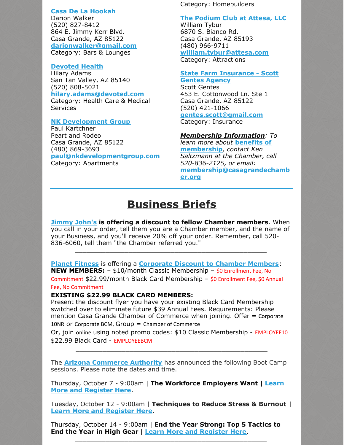#### **Casa De La [Hookah](https://www.facebook.com/Casadelahookah/)**

Darion Walker (520) 827-8412 864 E. Jimmy Kerr Blvd. Casa Grande, AZ 85122 **[darionwalker@gmail.com](mailto:darionwalker@gmail.com)** Category: Bars & Lounges

#### **[Devoted](http://www.devoted.com) Health**

Hilary Adams San Tan Valley, AZ 85140 (520) 808-5021 **[hilary.adams@devoted.com](http://hilary.adams@devoted.com)** Category: Health Care & Medical **Services** 

#### **NK [Development](http://www.nkdevelopmentgroup.com/) Group**

Paul Kartchner Peart and Rodeo Casa Grande, AZ 85122 (480) 869-3693 **[paul@nkdevelopmentgroup.com](http://paul@nkdevelopmentgroup.com/)** Category: Apartments

Category: Homebuilders

#### **The [Podium](http://www.attesa.com) Club at Attesa, LLC**

William Tybur 6870 S. Bianco Rd. Casa Grande, AZ 85193 (480) 966-9711 **[william.tybur@attesa.com](mailto:william.tybur@attesa.com)** Category: Attractions

### **State Farm [Insurance](http://www.scottinsuresaz.com) - Scott**

**Gentes Agency** Scott Gentes 453 E. Cottonwood Ln. Ste 1 Casa Grande, AZ 85122 (520) 421-1066 **[gentes.scott@gmail.com](mailto:gentes.scott@gmail.com)** Category: Insurance

### *Membership Information: To*

*learn more about* **benefits of [membership](https://casagrandechamber.org/member-benefits/)***, contact Ken Saltzmann at the Chamber, call 520-836-2125, or email:* **[membership@casagrandechamb](mailto:membership@casagrandechamber.org) er.org**

## **Business Briefs**

**[Jimmy](http://www.jimmyjohns.com/) John's is offering a discount to fellow Chamber members**. When you call in your order, tell them you are a Chamber member, and the name of your Business, and you'll receive 20% off your order. Remember, call 520- 836-6060, tell them "the Chamber referred you."

\_\_\_\_\_\_\_\_\_\_\_\_\_\_\_\_\_\_\_\_\_\_\_\_\_\_\_\_\_\_\_\_\_\_\_\_\_\_\_\_\_\_\_\_\_\_\_\_\_\_

**Planet [Fitness](http://www.planetfitness.com/gyms/casa-grande-az)** is offering a **[Corporate](https://files.constantcontact.com/8c5f2f7b701/a2826b13-5c9c-486e-aaa7-edd27eef2774.pdf) Discount to Chamber Members**: **NEW MEMBERS:** – \$10/month Classic Membership – \$0 Enrollment Fee, No Commitment \$22.99/month Black Card Membership – \$0 Enrollment Fee, \$0 Annual Fee, No Commitment

#### **EXISTING \$22.99 BLACK CARD MEMBERS:**

Present the discount flyer you have your existing Black Card Membership switched over to eliminate future \$39 Annual Fees. Requirements: Please mention Casa Grande Chamber of Commerce when joining. Offer = Corporate 10NR or Corporate BCM,  $Group = Chamber of Commerce$ 

Or, join online using noted promo codes: \$10 Classic Membership - EMPLOYEE10 \$22.99 Black Card - EMPLOYEEBCM

\_\_\_\_\_\_\_\_\_\_\_\_\_\_\_\_\_\_\_\_\_\_\_\_\_\_\_\_\_\_\_\_\_\_\_\_\_\_\_\_\_\_\_\_\_\_\_\_\_\_

The **Arizona [Commerce](https://r20.rs6.net/tn.jsp?f=001SkEbY6S5c_cQ3y1HIaOw0L8jlX9abf_pEcIRRHG4Yi9DmrL60O5qqbS0cIsAlwk8qt5PCLvUm1m7XDGV7FW-AV7fSfGUTj05S6WJYXcAH07nDPiO8eD3s42OpoRYpl-uFgPvFRr52ysAnWQiPnGB1Q==&c=40Rchfu24fH_FSH_SPfTMXFJfdwMX2fJ9RdcTJQdqdoM4_J4K6Yrog==&ch=_uiGZHVIP-vChPUTNtsEjpPTVZUaeuo3h9avpJB2DGRYFnfbn9Takw==) Authority** has announced the following Boot Camp sessions. Please note the dates and time.

Thursday, October 7 - 9:00am | **The Workforce [Employers](https://azcommerce.zoom.us/webinar/register/WN_OSNRcVI3S46yAc_M0lPPJQ) Want** | **Learn More and Register Here**.

Tuesday, October 12 - 9:00am | **Techniques to Reduce Stress & Burnout** | **Learn More and [Register](https://azcommerce.zoom.us/webinar/register/WN_b9gbVi6MSwi2FqDHiioU7w) Here**.

 $\_$  . The contribution of the contribution of  $\mathcal{L}_\mathcal{A}$ 

Thursday, October 14 - 9:00am | **End the Year Strong: Top 5 Tactics to End the Year in High Gear** | **Learn More and [Register](https://azcommerce.zoom.us/webinar/register/WN_4DEVtbJ1Q7KnPB0-nvyDnA) Here**.